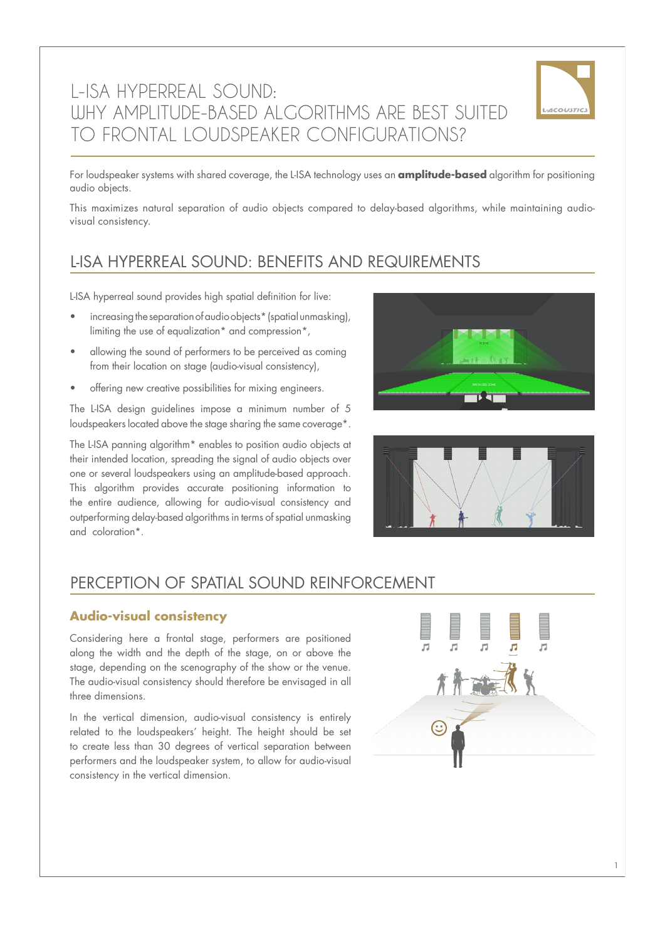# L-ISA HYPERREAL SOUND: WHY AMPLITUDE-BASED ALGORITHMS ARE BEST SUITED TO FRONTAL LOUDSPEAKER CONFIGURATIONS?



For loudspeaker systems with shared coverage, the L-ISA technology uses an **amplitude-based** algorithm for positioning audio objects.

This maximizes natural separation of audio objects compared to delay-based algorithms, while maintaining audiovisual consistency.

### L-ISA HYPERREAL SOUND: BENEFITS AND REQUIREMENTS

L-ISA hyperreal sound provides high spatial definition for live:

- increasing the separation of audio objects\* (spatial unmasking), limiting the use of equalization\* and compression\*,
- allowing the sound of performers to be perceived as coming from their location on stage (audio-visual consistency),
- offering new creative possibilities for mixing engineers.

The L-ISA design guidelines impose a minimum number of 5 loudspeakers located above the stage sharing the same coverage\*.

The L-ISA panning algorithm\* enables to position audio objects at their intended location, spreading the signal of audio objects over one or several loudspeakers using an amplitude-based approach. This algorithm provides accurate positioning information to the entire audience, allowing for audio-visual consistency and outperforming delay-based algorithms in terms of spatial unmasking and coloration\*.





### PERCEPTION OF SPATIAL SOUND REINFORCEMENT

#### **Audio-visual consistency**

Considering here a frontal stage, performers are positioned along the width and the depth of the stage, on or above the stage, depending on the scenography of the show or the venue. The audio-visual consistency should therefore be envisaged in all three dimensions.

In the vertical dimension, audio-visual consistency is entirely related to the loudspeakers' height. The height should be set to create less than 30 degrees of vertical separation between performers and the loudspeaker system, to allow for audio-visual consistency in the vertical dimension.

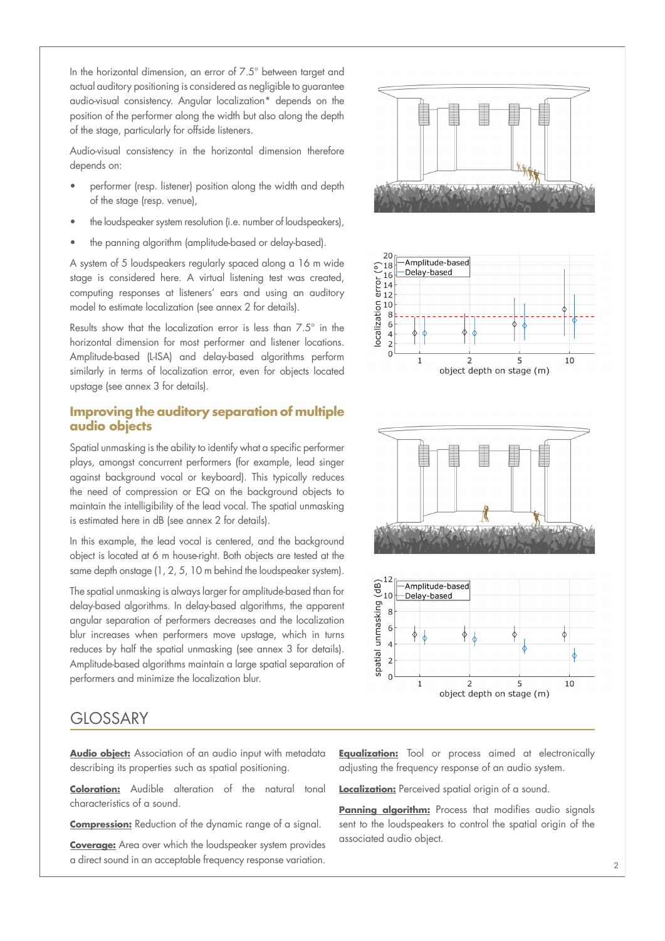In the horizontal dimension, an error of 7.5° between target and actual auditory positioning is considered as negligible to guarantee audio-visual consistency. Angular localization\* depends on the position of the performer along the width but also along the depth of the stage, particularly for offside listeners.

Audio-visual consistency in the horizontal dimension therefore depends on:

- performer (resp. listener) position along the width and depth of the stage (resp. venue),
- the loudspeaker system resolution (i.e. number of loudspeakers),
- the panning algorithm (amplitude-based or delay-based).

A system of 5 loudspeakers regularly spaced along a 16 m wide stage is considered here. A virtual listening test was created, computing responses at listeners' ears and using an auditory model to estimate localization (see annex 2 for details).

Results show that the localization error is less than 7.5° in the horizontal dimension for most performer and listener locations. Amplitude-based (L-ISA) and delay-based algorithms perform similarly in terms of localization error, even for objects located upstage (see annex 3 for details).

#### **Improving the auditory separation of multiple audio objects**

Spatial unmasking is the ability to identify what a specific performer plays, amongst concurrent performers (for example, lead singer against background vocal or keyboard). This typically reduces the need of compression or EQ on the background objects to maintain the intelligibility of the lead vocal. The spatial unmasking is estimated here in dB (see annex 2 for details).

In this example, the lead vocal is centered, and the background object is located at 6 m house-right. Both objects are tested at the same depth onstage (1, 2, 5, 10 m behind the loudspeaker system).

The spatial unmasking is always larger for amplitude-based than for delay-based algorithms. In delay-based algorithms, the apparent angular separation of performers decreases and the localization blur increases when performers move upstage, which in turns reduces by half the spatial unmasking (see annex 3 for details). Amplitude-based algorithms maintain a large spatial separation of performers and minimize the localization blur.

### **GLOSSARY**

**Audio object:** Association of an audio input with metadata describing its properties such as spatial positioning.

**Coloration:** Audible alteration of the natural tonal characteristics of a sound.

**Compression:** Reduction of the dynamic range of a signal.

**Coverage:** Area over which the loudspeaker system provides a direct sound in an acceptable frequency response variation.



**Equalization:** Tool or process aimed at electronically adjusting the frequency response of an audio system.

**Localization:** Perceived spatial origin of a sound.

**Panning algorithm:** Process that modifies audio signals sent to the loudspeakers to control the spatial origin of the associated audio object.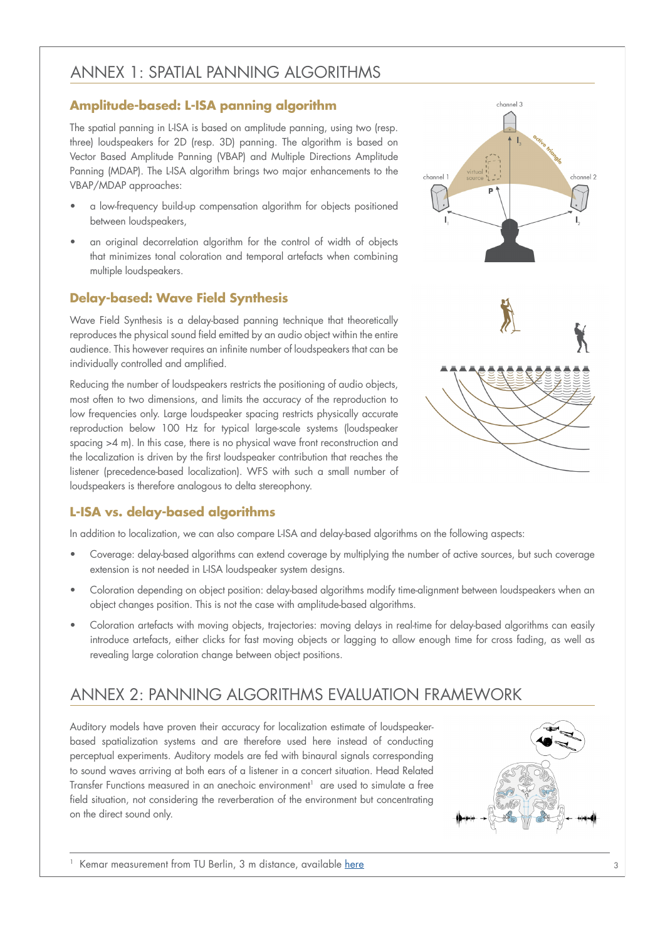## ANNEX 1: SPATIAL PANNING ALGORITHMS

### **Amplitude-based: L-ISA panning algorithm**

The spatial panning in L-ISA is based on amplitude panning, using two (resp. three) loudspeakers for 2D (resp. 3D) panning. The algorithm is based on Vector Based Amplitude Panning (VBAP) and Multiple Directions Amplitude Panning (MDAP). The L-ISA algorithm brings two major enhancements to the VBAP/MDAP approaches:

- a low-frequency build-up compensation algorithm for objects positioned between loudspeakers,
- an original decorrelation algorithm for the control of width of objects that minimizes tonal coloration and temporal artefacts when combining multiple loudspeakers.

### **Delay-based: Wave Field Synthesis**

Wave Field Synthesis is a delay-based panning technique that theoretically reproduces the physical sound field emitted by an audio object within the entire audience. This however requires an infinite number of loudspeakers that can be individually controlled and amplified.

Reducing the number of loudspeakers restricts the positioning of audio objects, most often to two dimensions, and limits the accuracy of the reproduction to low frequencies only. Large loudspeaker spacing restricts physically accurate reproduction below 100 Hz for typical large-scale systems (loudspeaker spacing >4 m). In this case, there is no physical wave front reconstruction and the localization is driven by the first loudspeaker contribution that reaches the listener (precedence-based localization). WFS with such a small number of loudspeakers is therefore analogous to delta stereophony.

#### **L-ISA vs. delay-based algorithms**

In addition to localization, we can also compare L-ISA and delay-based algorithms on the following aspects:

- Coverage: delay-based algorithms can extend coverage by multiplying the number of active sources, but such coverage extension is not needed in L-ISA loudspeaker system designs.
- Coloration depending on object position: delay-based algorithms modify time-alignment between loudspeakers when an object changes position. This is not the case with amplitude-based algorithms.
- Coloration artefacts with moving objects, trajectories: moving delays in real-time for delay-based algorithms can easily introduce artefacts, either clicks for fast moving objects or lagging to allow enough time for cross fading, as well as revealing large coloration change between object positions.

# ANNEX 2: PANNING ALGORITHMS EVALUATION FRAMEWORK

Auditory models have proven their accuracy for localization estimate of loudspeakerbased spatialization systems and are therefore used here instead of conducting perceptual experiments. Auditory models are fed with binaural signals corresponding to sound waves arriving at both ears of a listener in a concert situation. Head Related Transfer Functions measured in an anechoic environment<sup>1</sup> are used to simulate a free field situation, not considering the reverberation of the environment but concentrating on the direct sound only.



channel 3

channel 2

Kemar measurement from TU Berlin, 3 m distance, available [here](https://dev.qu.tu-berlin.de/projects/measurements/repository/entry/2010-11-kemar-anechoic)